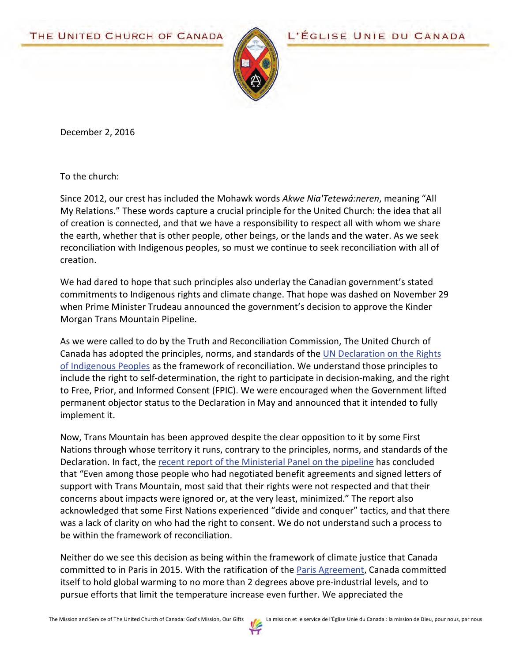

L'ÉGLISE UNIE DU CANADA

December 2, 2016

To the church:

Since 2012, our crest has included the Mohawk words *Akwe Nia'Tetewá:neren*, meaning "All My Relations." These words capture a crucial principle for the United Church: the idea that all of creation is connected, and that we have a responsibility to respect all with whom we share the earth, whether that is other people, other beings, or the lands and the water. As we seek reconciliation with Indigenous peoples, so must we continue to seek reconciliation with all of creation.

We had dared to hope that such principles also underlay the Canadian government's stated commitments to Indigenous rights and climate change. That hope was dashed on November 29 when Prime Minister Trudeau announced the government's decision to approve the Kinder Morgan Trans Mountain Pipeline.

As we were called to do by the Truth and Reconciliation Commission, The United Church of Canada has adopted the principles, norms, and standards of the [UN Declaration on the Rights](http://www.united-church.ca/news/living-out-un-declaration-rights-indigenous-peoples)  [of Indigenous Peoples](http://www.united-church.ca/news/living-out-un-declaration-rights-indigenous-peoples) as the framework of reconciliation. We understand those principles to include the right to self-determination, the right to participate in decision-making, and the right to Free, Prior, and Informed Consent (FPIC). We were encouraged when the Government lifted permanent objector status to the Declaration in May and announced that it intended to fully implement it.

Now, Trans Mountain has been approved despite the clear opposition to it by some First Nations through whose territory it runs, contrary to the principles, norms, and standards of the Declaration. In fact, the [recent report of the Ministerial Panel on the pipeline](http://news.gc.ca/web/article-en.do?nid=1147139) has concluded that "Even among those people who had negotiated benefit agreements and signed letters of support with Trans Mountain, most said that their rights were not respected and that their concerns about impacts were ignored or, at the very least, minimized." The report also acknowledged that some First Nations experienced "divide and conquer" tactics, and that there was a lack of clarity on who had the right to consent. We do not understand such a process to be within the framework of reconciliation.

Neither do we see this decision as being within the framework of climate justice that Canada committed to in Paris in 2015. With the ratification of th[e Paris Agreement,](http://unfccc.int/paris_agreement/items/9485.php) Canada committed itself to hold global warming to no more than 2 degrees above pre-industrial levels, and to pursue efforts that limit the temperature increase even further. We appreciated the